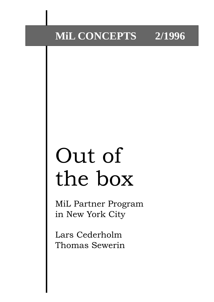# **MiL CONCEPTS 2/1996**

# Out of the box

MiL Partner Program in New York City

Lars Cederholm Thomas Sewerin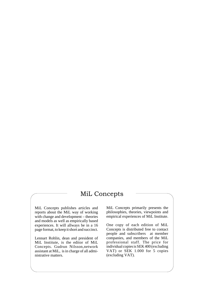### MiL Concepts

MiL Concepts publishes articles and reports about the MiL way of working with change and development – theories and models as well as empirically based experiences. It will allways be in a 16 page format, to keep it short and succinct.

Lennart Rohlin, dean and president of MiL Institute, is the editor of MiL Concepts. Gudrun Nilsson,network assistant at MiL, is in charge of all administrative matters.

MiL Concepts primarily presents the philosophies, theories, viewpoints and empirical experiences of MiL Institute.

One copy of each edition of MiL Concepts is distributed free to contact people and subscribers at member companies, and members of the MiL professional staff. The price for individual copies is SEK 400 (excluding VAT) or SEK 1.000 for 5 copies (excluding VAT).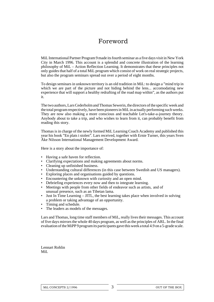## Foreword

MiL International Partner Program 9 made its fourth seminar as a five days visit in New York City in March 1996. This account is a splendid and concrete illustration of the learning philosophy of MiL – Action Reflection Learning. It demonstrates that these principles not only guides that half of a total MiL program which consist of work on real strategic projects, but also the program seminars spread out over a period of eight months.

To design seminars in unknown territory is an old tradition in MiL: to design a "mind trip in which we are part of the picture and not hiding behind the lens... accomodating new experience that will support a healthy redrafting of the road map within", as the authors put it.

The two authors, Lars Cederholm and Thomas Sewerin, the directors of the specific week and the total program respectively, have been pioneers in MiL in actually performing such weeks. They are now also making a more conscious and teachable Let's-take-a-journey theory. Anybody about to take a trip, and who wishes to learn from it, can probably benefit from reading this story.

Thomas is in charge of the newly formed MiL Learning Coach Academy and published this year his book "En plats i stolen". Lars received, together with Ernie Turner, this years Sven Åke Nilsson International Management Development Award.

Here is a story about the importance of:

- Having a safe haven for reflection.
- Clarifying expectations and making agreements about norms.
- Cleaning up unfinished business.
- Understanding cultural differences (in this case between Swedish and US managers).
- Exploring places and organisations guided by questions.
- Encountering the unknown with curiosity and an open mind.
- Debriefing experiences every now and then to integrate learning.
- Meetings with people from other fields of endeavor such as artists, and of unusual presence, such as an Tibetan lama.
- Just In Time Learning JITL, the best learning takes place when involved in solving a problem or taking advantage of an opportunity.
- Timing and schedule.
- The leaders as models of the messages.

Lars and Thomas, long time staff members of MiL, really lives their messages. This account of five days mirrors the whole 40 days program, as well as the principles of ARL. In the final evaluation of the MiPP 9 program its participants gave this week a total 4.9 on a 5-grade scale.

Lennart Rohlin MiL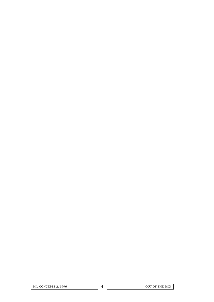#### MIL CONCEPTS 2/1996 4 OUT OF THE BOX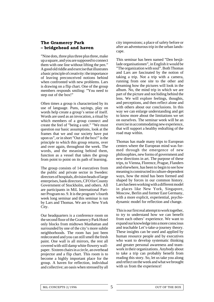#### **The Gramercy Park – bridgehead and haven**

"Nine dots, three plus three plus three, make up a square, and you are supposed to connect them with one line without lifting the pen." A good old riddle and exercise that illustrates a basic principle of creativity: the importance of leaving preconceived notions behind when confronted with new problems. Lars is drawing on a flip chart. One of the group members responds smiling: "You need to step out of the box!"

Often times a group is characterized by its use of language. Puns, sayings, play on words help create a group's sense of itself. Words are used as an invocation, a ritual by which members of a group connect and create the feel of "being a unit." "We must question our basic assumptions, look at the frames that we and our society have put upon us", or in short "Out of the box!" is the principle to which this group returns, over and over again, throughout the week. The words, and the meaning behind them, function as a vessel that takes the group from point to point on its path of learning.

The group consists of 14 executives from the public and private sector in Sweden: directors of hospitals, division heads of large enterprises, bank directors, CFO for County Government of Stockholm, and others. All are participants in MiL International Partner Program no. 9. It is the program's fourth week long seminar and this seminar is run by Lars and Thomas. We are in New York City.

Our headquarters is a conference room on the second floor of the Gramercy Park Hotel only blocks from midtown Manhattan and surrounded by one of the city's more subtle neighborhoods. The room has just been redecorated and you can still smell the fresh paint. One wall is all mirrors, the rest all covered with still damp white flowery wallpaper. Sixteen chairs in a circle, an overhead projector and a flip chart. This room is to become a highly important place for the group. A haven for reflection, individual and collective; an oasis when stressed by all

city impressions; a place of safety before or after an adventurous trip in the urban landscape.

This seminar has been named "Den besjälade organisationen", in English it would be "The organization with soul". Both Thomas and Lars are fascinated by the notion of taking a trip. Not a trip with a camera, running from one site to the other and dreaming how the pictures will look in the album. No, the mind trip in which we are part of the picture and not hiding behind the lens. We will explore feelings, thoughts, and perceptions, and then reflect alone and with others about our conclusions. In this way we can enlarge understanding and get to know more about the limitations we set on ourselves. The seminar week will be an exercise in accommodating new experience, that will support a healthy redrafting of the road map within.

Thomas has made many trips to European centers where the European mind was formed through the emergence of new philosophies, new forms of government and new directions in art. The purpose of these trips, to Vienna, Florence, Prague, Flanders and elsewhere, has been to begin to see how meaning is constructed in culture-dependent ways, how the mind has been formed and shaped by forces in our common history. Lars has been working with a different model in places like New York, Singapore, Moscow, Berlin and former East Germany, with a more explicit, experiential, psychodynamic model for reflection and change.

This is our first real attempt to work together, to try to understand how we can benefit from each others' experience. We want to expand our knowledge into a more conscious and teachable Let's-take-a-journey theory. These insights can be used and applied by human resource people and by executives who want to develop systematic thinking and greater personal awareness and teamwork in their organizations. Anybody about to take a trip can probably benefit from reading this story. So, let us take you along and reflect on the week and what we brought with us from the experience!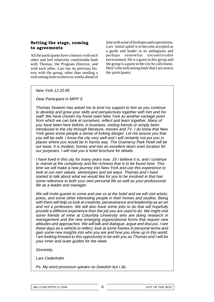#### **Setting the stage, coming to agreements**

All the participants have a history with each other and feel relatively comfortable both with Thomas, the Program Director, and with each other. Lars has no previous history with the group, other than sending a welcoming letter to them six weeks ahead of time with some of his hopes and expectations. Lars' initial uphill is to become accepted as a guide and leader in an ambiguous and perhaps somewhat uncomfortable environment. He is a guest in this group and the group is a guest in the city he calls home. Here's the welcoming letter that Lars sent to the participants:

New York 12.20.95

Dear Participant in MiPP 9

Thomas Sewerin has asked me to lend my support to him as you continue to develop and grow your skills and perspectives together with him and his staff. We have chosen my home town New York as another vantage point from which we can look at ourselves, reflect and learn together. Many of you have been here before, in business, visiting friends or simply been introduced to the city through literature, movies and TV. I do know that New York gives some people a sense of lurking danger. Let me assure you that you will be safe. I know the city very well and I will certainly not put you in places where you would be in harms way. The Gramercy Park Hotel will be our base. It is modest, homey and has an excellent down town location for our purposes. I will mail you a hotel brochure for details.

I have lived in this city for many years now. 16 I believe it is, and I continue to marvel at the complexity and the richness that is to be found here. This time we will make a new journey into New York and use this experience to look at our own values, stereotypes and set ways. Thomas and I have started to talk about what we would like for you to be involved in that has some reference to both your own personal life as well as your professional life as a leader and manager.

We will invite guests to come and see us at the hotel and we will visit artists, poets, and some other interesting people in their homes and studios. Being with them will help us look at creativity, perseverance and leadership as an art and not a profession. We will also have some jobs to do that will hopefully provide a different experience than the job you are used to do. We might visit some friends of mine at Columbia University who are doing research in management and the new emerging organizational forms that require new attitudes and approaches. We will talk and dialogue, argue and discuss. I see these days as a vehicle to reflect, look at some frames in personal terms and gain some new insights into who you are and how you show up in this world. I am looking forward to this opportunity to be with you as Thomas and I will be your inner and outer guides for the week.

Sincerely,

Lars Cederholm

Ps. My word processor speaks no Swedish but I do.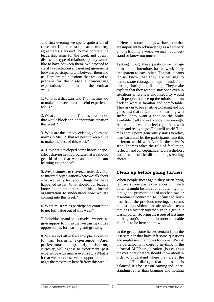The first evening we spend quite a bit of time setting the stage and making agreements. Lars and Thomas contract the leadership issue for the week and openly discuss the type of relationship they would like to have between them. We proceed to clarify expectations and making agreements between participants and between them and us. Here are the questions that we used to prepare for the dialogue concerning expectations and norms for the seminar week:

1. What is it that Lars and Thomas must do to make this week into a useful experience for us?

2. What could Lars and Thomas possibly do that would block or hinder our participation this week?

3. What are the already existing values and norms in MiPP 9 that we need to keep alive to make the best of this week?

4. Have we developed some habits or specific behavior in this program that we should get rid of so that we can maximize our learning experience?

5. We (or some of us) have started to develop an informal organization where we talk about what we really feel about things that have happened so far. What should our leaders know about the nature of this informal organization to understand how we are coming into this week?

6. What must we as participants contribute to get full value out of this week?

7. Individually and collectively – we need to give support to ..... so that we can maximize opportunities for learning and growing.

8. We are not all in the same place coming to this learning experience. (Age, professional background, motivation, curiosity, willingness to experiment, past experience with similar events etc.) What is it that we must observe to support all of us to get the maximum benefit from this week?

9. Here are some feelings we have now that are important to acknowledge as we embark on this trip into a world we may not understand or know too much about!

Talking through these questions we manage to make our intentions for the week fairly transparent to each other. The participants let us know that they are willing to demonstrate courage, an open minded approach, sharing and listening. They make explicit that they want to stay open even in situations where fear and insecurity would push people to close up the minds and run back to what is familiar and comfortable. They ask us to be sensitive to pacing and not go so fast that reflection and learning will suffer. They want a foot on the brake available to all and everybody. Fair enough. At this point we both feel right there with them and ready to go. This will work! Thomas at this point generously starts to relax, lean back and let the participants into this different world with Lars in the driver's seat. Thomas takes the role of facilitator, reflector and conceptualizer. Lars is the host and director of the different steps leading ahead.

#### **Clean up before going further**

When people meet again they often bring left overs from past experiences with each other. It might be hope for another high, or it might be premonitions of another low, or resentment connected to unfinished business from the previous meeting. It seems almost impossible to start afresh with a team that has a history together. In this group it was important to bring the issues of last time to the group's attention, in order to enable all of us to be here and now.

In the group some issues remain from the last seminar that have left some questions and unpleasant memories for some. We ask the participants if there is anything in the informal MiPP organization (issues from the corridors) that we should know about in order to understand where they are at the moment. The dialogue that comes out is balanced. It is focused on learning and understanding rather than blaming and holding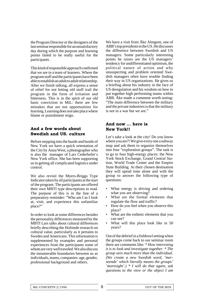the Program Director or the designers of the last seminar responsible for an unsatisfactory day during which the purpose and learning points failed to be really useful for the participants .

This kind of responsible approach confirmed that we are in a team of learners. Where the program staff and the participants have been able to establish an adult to adult relationship. After we finish talking, all express a sense of relief for not letting old stuff trail the program in the form of irritation and bitterness. This is in the spirit of our old basic conviction in MiL: there are few mistakes that are not opportunities for learning. Learning does not take place where blame or punishment reign.

#### **And a few words about Swedish and US. culture**

Before stepping into the hustle and bustle of New York we have a quick orientation of the City by Anna West, a photographer who is also the manager of Lars Cederholm's New York office. She has been supporting us in getting all complicated logistics under control.

We also revisit the Myers-Briggs Type Indicator taken by all participants at the start of the program. The participants are offered their own MBTI type descriptions to read. The purpose of this is in the line of a preparatory reminder: "Who am I as I look at, visit, and experience this unfamiliar place?"

In order to look at some differences besides the personality differences measured by the MBTI Lars talks about cultural differences briefly describing the Hofstede research on cultural value, particularly as it pertains to Swedes and Americans. This information is supplemented by examples and personal experiences from the participants some of whom are very well traveled. We also discuss the innumerable boundaries between us as individuals, teams, companies: age, gender, professional background and others.

We have a visit from Åke Almgren, one of ABB's top presidents in the US. He discusses the difference between Swedish and US managers. Some particularly interesting points he raises are the US managers' tendency for undifferentiated optimism, the political nature of action and why unsuspecting and problem oriented Swedish managers often have trouble finding their way in US organizations. He gives us a briefing about his industry in the face of US deregulation and his wisdom on how to put together high performing teams within ABB. Åke made a comment worth noting: "The main difference between the military and the private industries is that the military is not in a war but we are."

#### **And now ... here is New York!!**

Let's take a look at the city! Do you know where you are?! We give every one a subway map and ask them to organize themselves into four "exploration groups". The task is to go to four high-energy places: the New York Stock Exchange, Grand Central Station, World Trade Center and the Empire State Building. At their chosen destination they will spend time alone and with the group to answer the following type of questions:

- What energy is driving and ordering what you are observing?
- What are the formal elements that regulate the flow and traffic?
- How do you feel when you observe this place?
- What are the esthetic elements that you can see?
- What will this place look like in 50 years?

Out of the debrief in a fishbowl setting when the groups come back to our seminar room there are comments like: *\* How interesting it is to look and investigate together. \* The group sees much more than the individual. (We create a new Swedish word, 'merseende' which literally means the groups' 'moresight'.) \* I will do that again, ask questions to the view or the object I am*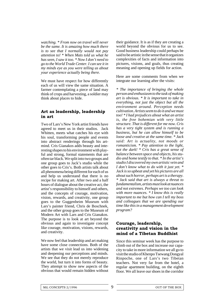*watching. \* From now on travel will never be the same. It is amazing how much there is to see that I normally would not pay attention to! \* When Mats told us what he has seen, I saw it too. \* Now I don't need to go to the World Trade Center. I can see it in my minds eye as you were telling us about your experience actually being there.*

We must have respect for how differently each of us will view the same situation. A farmer contemplating a piece of land may think of crops and harvesting, a soldier may think about places to hide.

#### **Art as leadership, leadership in art**

Two of Lars's New York artist friends have agreed to meet us in their studios. Jack Whitten, meets what catches his eye with his soul, transforming people and events into abstract renderings through his artmind. Cris Gianakos adds beauty and interesting shapes to his environment with playful and strong, formal statements that are often tar black. We split into two groups and one group goes to Jack's studio while the other goes to Cris's. Both artists talk about all phenomena being different for each of us and help us understand that there is no recipe for making art. After two and a half hours of dialogue about the creative act, the artist's responsibility to himself and others, and the concepts of courage, motivation, vision, rewards, and creativity, one group goes to the Guggenheim Museum with Lars's painter friend, Chris de Boschnek, and the other group goes to the Museum of Modern Art with Lars and Cris Gianakos. The purpose is to look at art beyond the obvious and again to investigate concept like courage, motivation, visions, rewards, and creativity.

We now feel that leadership and art making have some close connections. Both of the artists that we visit lead us into widening and deepening our perceptions and minds. We see that they do not merely reproduce the world, but turn it into forms of beauty. They attempt to show new aspects of the obvious that would remain hidden without their guidance. It is as if they are creating a world beyond the obvious for us to see. Good business leadership could perhaps be said to be artistic in the sense that it organizes complexities of facts and information into pictures, visions, and goals, thus creating meaning and opening up fields for action.

Here are some comments from when we integrate our learning after the visits:

*\* The importance of bringing the whole person and enthusiasm to the task of making art is obvious. \* It is important to take in everything, not just the object but all the environment around. Perception needs cultivation. Artists seem to do it and we must too! \* I had prejudices about what an artist is, the free bohemian with very little structure. That is different for me now. Cris has a very tight system and is running a business, but he can allow himself to be loose and creative at the same time. \* Jack said: Art is actuality, not moods or romanticism. \* Pay attention to the light, not the dark! \* Cris has a great sense of balance between space and objects, his studio and home testify to that. \* In the artist's studio I discovered my own artistic vein and I don't know what to do with it just yet. \* Jack is so upbeat and yet his pictures are all about such horror, perhaps art is a therapy. \* Jack said that art is always a threat to fundamentalism, artists must look at nuances and not extremes. Perhaps we too can look with more nuances. \* I know this is really important to me but how can I tell my boss and colleagues that we are spending our time like this in a management development program?*

#### **Courage, leadership, creativity and vision in the mind of a Tibetan Buddhist**

Since this seminar week has the purpose to climb out of the box and increase our capacity to take in more information we all go to visit the studio of Khenpo Tsewang Dongyal Rinpoche, one of Lars's two Tibetan teachers. Not very far from the hotel, a regular apartment building, on the eighth floor. We all leave our shoes in the corridor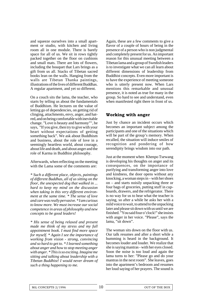and squeeze ourselves into a small apartment or studio, with kitchen and living room all in one module. There is barely space for all of us. We sit in rows tightly packed together on the floor on cushions and small mats. There are lots of flowers, including the bouquet that Lars brings as a gift from us all. Stacks of Tibetan sacred books lean on the walls. Hanging from the walls are Tibetan Thanka paintings, illustrations of the lives of different Buddhas. A regular apartment, and yet so different.

On a couch sits the lama, the teacher, who starts by telling us about the fundamentals of Buddhism. He lectures on the value of letting go of dependencies, on getting rid of clinging, attachments, envy, anger, and hatred, and on being comfortable with inevitable change. "Love is beauty and harmony"", he says, "If you give, then try to give with your heart without expectations of getting something back". We ask about Buddhism and business, about the role of love in a seemingly heartless world, about courage, about life and death, and about anger and the role of Karma in Buddhist philosophy.

Afterwards, when reflecting on the meeting with the Lama some of the comments are:

*\* Such a different place, objects, paintings of different Buddhas, all of us sitting on the floor, the unexpected dog that walked in ... hard to keep my mind on the discussion when taking in this very different environment at the same time. \* The sense of love and care was really pervasive. \* I am curious to know more. We must increase our social competence in areas of philosophy and new concepts to be good leaders!*

*\* His sense of being relaxed and present made me think of my stress and my full appointment book. I must find more space for myself. \* Again I see the importance of working from vision - strong, convincing and so hard to get to. \* I learned something about anger and how to stop meeting anger with anger. \* This is so exciting. Imagine me sitting and talking about leadership with a Tibetan Buddhist! I would never dream of such a thing happening to me.*

Again, these are a few comments to give a flavor of a couple of hours of being in the presence of a person who is non judgmental and completely present for us. An important reason for this unusual meeting between a Tibetan lama and a group of Swedish leaders is to investigate what we can all learn about different dimensions of leadership from Buddhist concepts. Even more important is to have the experience of meeting someone who is utterly present now. When Lars mentions this remarkable and unusual presence, it is noted as true for many in the group. So hard to see and understand, even when manifested right there in front of us.

#### **Working with anger**

Just by chance an incident occurs which becomes an important subject among the participants and one of the situations which will be part of the group's memory. When recalled, the situation will induce smiles of recognition and pondering of how serendipity brings wisdom into our path.

Just at the moment when Khenpo Tsewang is developing his thoughts on anger and its consequences, on the importance of purifying and transforming anger into love and kindness, the door opens without any knocking, a woman steps in – with her shoes on – and starts noisily unpacking three or four bags of groceries, putting stuff in cupboards, drawers, and the refrigerator. There is no way for us to hear what the teacher is saying, so after a while he asks her with a mild voice to wait, to attend to the unpacking later and please sit down with us until we are finished. "You said four o'clock!" she insists with anger in her voice. "Please", says the lama, "sit down".

The woman sits down on the floor with us. Our talk resumes and after a short while a humming is heard in the background. It becomes louder and louder. We realize that she is saying mantras - with her eyes closed. Soon the noise is too loud and again the lama turns to her: "Please go and do your mantras in the next room". She leaves, goes into the apartment's bedroom and resumes her loud saying of her prayers. The sound is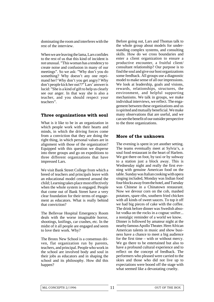dominating the room and interferes with the rest of the interview.

When we are leaving the lama, Lars confides to the rest of us that this kind of incident is not unusual. "This woman has a tendency to create noise and confusion in many of our meetings". So we ask: "Why don't you do something? Why doesn't any one reprimand her? Why don't you get angry? Why don't people kick her out??" Lars' answer is lucid: "She is a kind of gift to help us clearly see our anger. In that way she is also a teacher, and you should respect your teachers".

#### **Three organizations with soul**

What is it like to be in an organization in which people work with their hearts and minds, in which the driving forces come from a conviction that they are doing the right thing, in which personal values are in alignment with those of the organization? Equipped with this question we disperse into three groups and go on expeditions to three different organizations that have impressed Lars.

We visit Bank Street College from which a breed of teachers and principals leave with an educational model centered around the child; Learning takes place most effectively when the whole system is engaged. People that come out of Bank Street have a very clear foundation for their terms of engagement as educators. What is really behind that conviction?

The Bellevue Hospital Emergency Room deals with the worse imaginable horror, shootings, knifings, car crashes, etc. In the midst of it all people are engaged and seem to love their work. Why?

The Bronx New School is a consensus driven, flat organization run by parents, teachers, and principal. People who work in the school are involved body and soul in their jobs as educators and in shaping the school and its philosophy. How did this happen?

Before going out, Lars and Thomas talk to the whole group about models for understanding complex systems, and consulting skills. How do we cross boundaries and enter a client organization to ensure a productive encounter, a fruitful client/ consultant relationship? Our purpose is to find the soul and give our host organizations some feedback. All groups use a diagnostic model to make sense of all our impressions. We look at leadership, goals and visions, rewards, relationships, structures, the environment, and helpful supporting mechanisms. We talk in groups, we make individual interviews, we reflect. The engagement between these organizations and us is spirited and mutually beneficial. We make many observations that are useful, and we can see the benefit of our outsider perspective to the three organizations.

#### **More of the unknown**

The evening is spent in yet another setting. The teams eventually meet at Sylvia's, a soul food restaurant in the heart of Harlem. We got there on foot, by taxi or by subway to a station just a block away. This is Wednesday night and really the first evening with genuine American food on the table. Sunday was Italian cooking with opera singing included, Monday was Indian food four blocks away from the hotel, and Tuesday was Chinese in a Chinatown restaurant. Now we devour corn on the cob, mashed potatoes, spare ribs, southern fried chicken with all kinds of sweet sauces. To top it off we had big pieces of cake with the coffee. The drink before dinner was Swedish absolut vodka on the rocks in a cognac snifter... a nostalgic reminder of a world we know. Dinner is followed by amateur night at the nearby famous Apollo Theater. Here African American talents in music and show business have a chance to meet a big audience for the first time – with or without mercy. We go there to be entertained but also to have a profound cultural experience and to reflect on the concept of feedback. The performers who pleased were carried to the skies and those who did not live up to expectations were booed off the stage with what seemed like a devastating cruelty.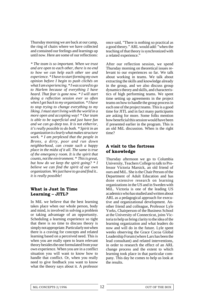Thursday morning we are back at our camp, the ring of chairs where we have collected and contained our feelings and learnings up until now. Here are some of our reflections:

*\* The team is so important. When we trust and are open to each other, there is no end to how we can help each other see and experience. \* I have to start forming my own opinion before I begin to push clichés on what I am experiencing. \* I was scared to go to Harlem because of everything I have heard. That fear is gone now. \* I will start doing a reflection session ever so often when I get back to my organization. \* I have to stop trying to change everything to my liking. I must start living with the world in a more open and accepting way! \* Our team is able to be superficial and just have fun and we can go deep too. It is not either/or, it's really possible to do both. \* Spirit in an organization is clearly what makes structure work. \* I am perplexed that the people in Bronx, a dirty, poor and run down neighborhood, can create such a happy place in the midst of it all. The same is true of the emergency room. It is the spirit that counts, not the environment. \* This is great, but how do we keep the spirit going? \* I believe we can find the spirit of our own organization. We just have to go and find it.. it is really possible!*

#### **What is Just In Time Learning – JITL?**

In MiL we believe that the best learning takes place when our whole person, body and mind, is involved in solving a problem or taking advantage of an opportunity. Scheduling a learning experience so tight that there is no time to discuss theory is simply not appropriate. Particularly not when there is a craving for concepts and related learning based on a perceived need. This is when you are really open to learn relevant theory besides the one formulated from your own experience. When you are in a conflict situation you will want to know how to handle that conflict. Or, when you really need to give feedback you want to know what the theory says about it. A professor

once said, "There is nothing so practical as a good theory." ARL would add: "when the teaching of that theory is synchronized with a related experience."

After our reflection session, we spend Thursday morning on theoretical issues relevant to our experiences so far. We talk about working in teams. We talk about extracting the skills and knowledge already in the group, and we also discuss group dynamics theory and skills, and characteristics of high performing teams. We spent time setting up agreements in the project teams on how to handle the group process in each one of the project teams. This is a good time for JITL and in fact many participants are asking for more. Some folks mention how beneficial this session would have been if presented earlier in the program. This is an old MiL discussion. When is the right time?

#### **A visit to the fortress of knowledge**

Thursday afternoon we go to Columbia University, Teachers College to talk to Professor Victoria Marsick, an old friend of ours and MiL. She is the Chair Person of the Department of Adult Education and has done extensive research on learning organizations in the US and in Sweden with MiL. Victoria is one of the leading US academics who has studied and written about ARL as a pedagogical approach for executive and organizational development. Another friend and colleague, Professor Lyle Yorks, Chairperson of the Business School at the University of Connecticut, joins Victoria to help us bring clarity to the idea of the learning organization and what leaders do now and will do in the future. Lyle spent weeks observing the Grace Cocoa Global Leadership Forum (where Lars has been the lead consultant) and related interventions, in order to research the effect of an ARL change process and the extent to which learning took place in that particular company. This day he comes to help us look at the results.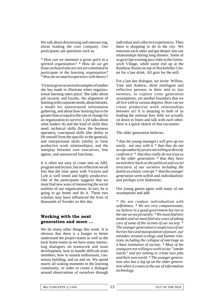We talk about downsizing and outsourcing. about leading the core company. Our participants ask questions such as:

*\* How can we maintain a great spirit in a spirited organization? \* How do we get those on board who are not yet committed to participate in the learning organization? \* How do we match experience with theory?*

 Victoria gives us several examples of studies she has made to illustrate when organizational learning takes place. She talks about job security and loyalty, the alignment of learning with corporate needs, about Intranet, a model for unstructured information gathering, and about how learning has to be greater than or equal to the rate of change for an organization to survive. Lyle talks about what leaders do and the kind of skills they need: technical skills (how the business operates), conceptual skills (the ability to lift oneself from the specific to the general), and interpersonal skills (ability to form productive work relationships), and the interplay between core executives, free agents, and outsourced functions.

It is often not easy to come into an ARL program and lecture, but on reflection we all feel that the time spent with Victoria and Lyle is well timed and highly productive. One of the participants suggests that we must find new ways of measuring the social realities of our organizations. In fact, he is going to go home and do it. These two scholars may have influenced the lives of thousands of Swedes on this day.

#### **Working with the next generation and more ...**

We do many other things this week. It is obvious that there is a hunger to better understand the project teams as well as the back home teams so we have many interesting dialogues on teamwork and team development, how to handle difficult team members, how to sustain enthusiasm, consensus building, and on and on. We spend nearly all waking moments in the learning community, in order to create a dialogue around observations of ourselves through individual and collective experiences. Then there is shopping to do in the city. We entertain each other and get deeper into our relationships during long dinners. Some of us go to late evening jazz clubs in the Greenwich Village, while some end up at the Rainbow Room on top of Rockefeller Center for a late drink. All grist for the mill.

For a last day dialogue, we invite Willow, Tom and Andrew, three intelligent and reflective persons in their mid to late twenties, to explore cross generation assumptions, yet another boundary that we all live with in various degrees. How can we create productive work relationships between us? It is amazing to both of us leading the seminar how little we actually sit down to listen and talk with each other. Here is a quick sketch of that encounter:

The older generation believes:

*\* that the young managers will give up too easily.. not stay with it \* that they do not accept authority yet are not willing to directly confront it \* that they really do not trust us in the older generation \* that they have turned their back on the political and social structures of our societies including the family as a basic concept \* that the younger generation seem selfish and individualistic and perhaps even hedonistic.*

Our young guests agree with many of our assumptions and add:

*\* Do not confuse individualism with selfishness. \* We are very compassionate, we believe in a good government but not in the one we see presently. \* We must find new models and we must find new ways of taking care of some of the victims of our society. \* The younger generation is suspicious of our hierarchies and manipulation of power, our mistakes around ecology and human relations including the collapse of marriage as a base institution of society. \* Most of the young are not willing to work in our "smoke stacks" and are aiming to create new jobs and their own world. \* The younger generation also has a leg up on the older generation when it comes to the use of information technology.*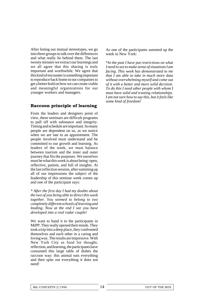After listing our mutual stereotypes, we go into three groups to talk over the differences and what really lie behind them. The last twenty minutes we extract our learnings and we all agree that this sharing is truly important and worthwhile. We agree that this kind of encounter is something important to reproduce back home in our companies to get a better hold on how we can create viable and meaningful organizations for our younger workers and managers.

#### **Raccoon principle of learning**

From the leaders and designers point of view, these seminars are difficult programs to pull off with substance and integrity. Timing and schedule are important. So many people are dependent on us, as we notice when we are late to an appointment. The people involved must understand and be committed to our growth and learning. As leaders of the week, we must balance between tourism and the inner and outer journey that fits the purposes. We ourselves must be what this week is about being: open, reflective, patient, and full of insights. At the last reflection session, after summing up all of our impressions the subject of the leadership of this seminar week comes up and one of the participant says:

*\* After the first day I had my doubts about the two of you being able to direct this week together. You seemed to belong to two completely different schools of learning and leading. Now at the end I see you have developed into a real radar couple!*

We want to hand it to the participants in MiPP. They really opened their minds. They took a trip into a deep place, they confronted themselves and each other in a caring and loving way. The results are impressive. With New York City as food for thought, reflection, and learning, the participants have consumed this large table of dishes the raccoon way: this animal eats everything and then spits out everything it does not need!

As one of the participants summed up the week in New York:

\**In the past I have put restrictions on what I need to see to make sense of situations I am facing. This week has demonstrated to me that I am able to take in much more data without overwhelming myself and come out of it with a better and more solid decision. To do this I need other people with whom I must have solid and trusting relationships. I am not sure how to say this, but it feels like some kind of freedom!*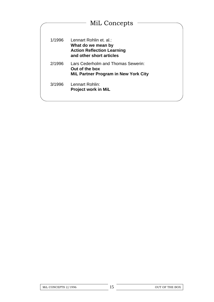|        | MiL Concepts                                                                                                   |
|--------|----------------------------------------------------------------------------------------------------------------|
| 1/1996 | Lennart Rohlin et. al.:<br>What do we mean by<br><b>Action Reflection Learning</b><br>and other short articles |
| 2/1996 | Lars Cederholm and Thomas Sewerin:<br>Out of the box<br><b>MiL Partner Program in New York City</b>            |
| 3/1996 | Lennart Rohlin:<br><b>Project work in MiL</b>                                                                  |
|        |                                                                                                                |